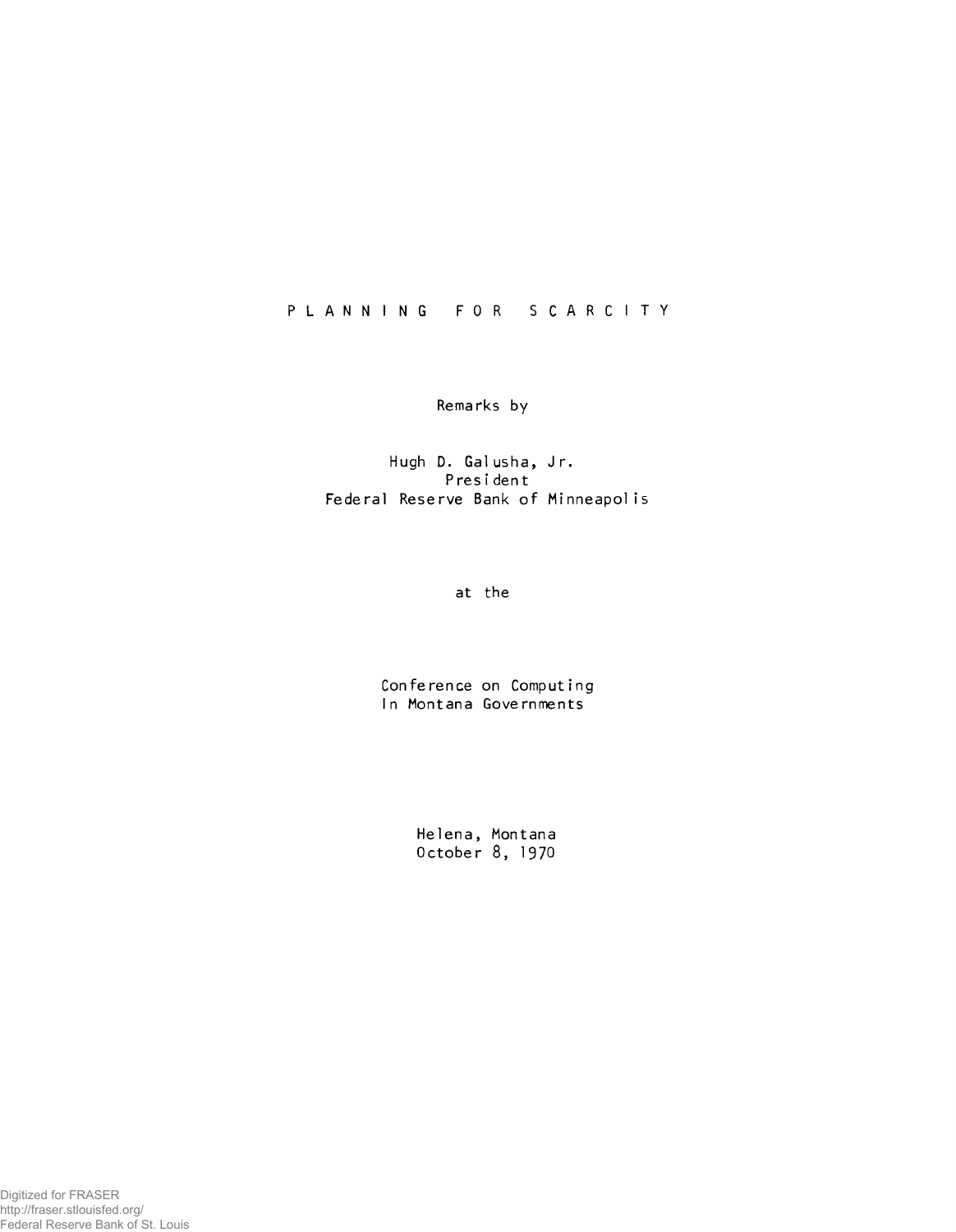## **P L A N N I N G FOR S C A R C I T Y**

**Remarks by**

Hugh D. Galusha, Jr. **P res i den t Federal Reserve Bank of Minneapolis**

**at the**

**Conference on Computing In Montana Governments**

> **Helena, Montana October 8, 1970**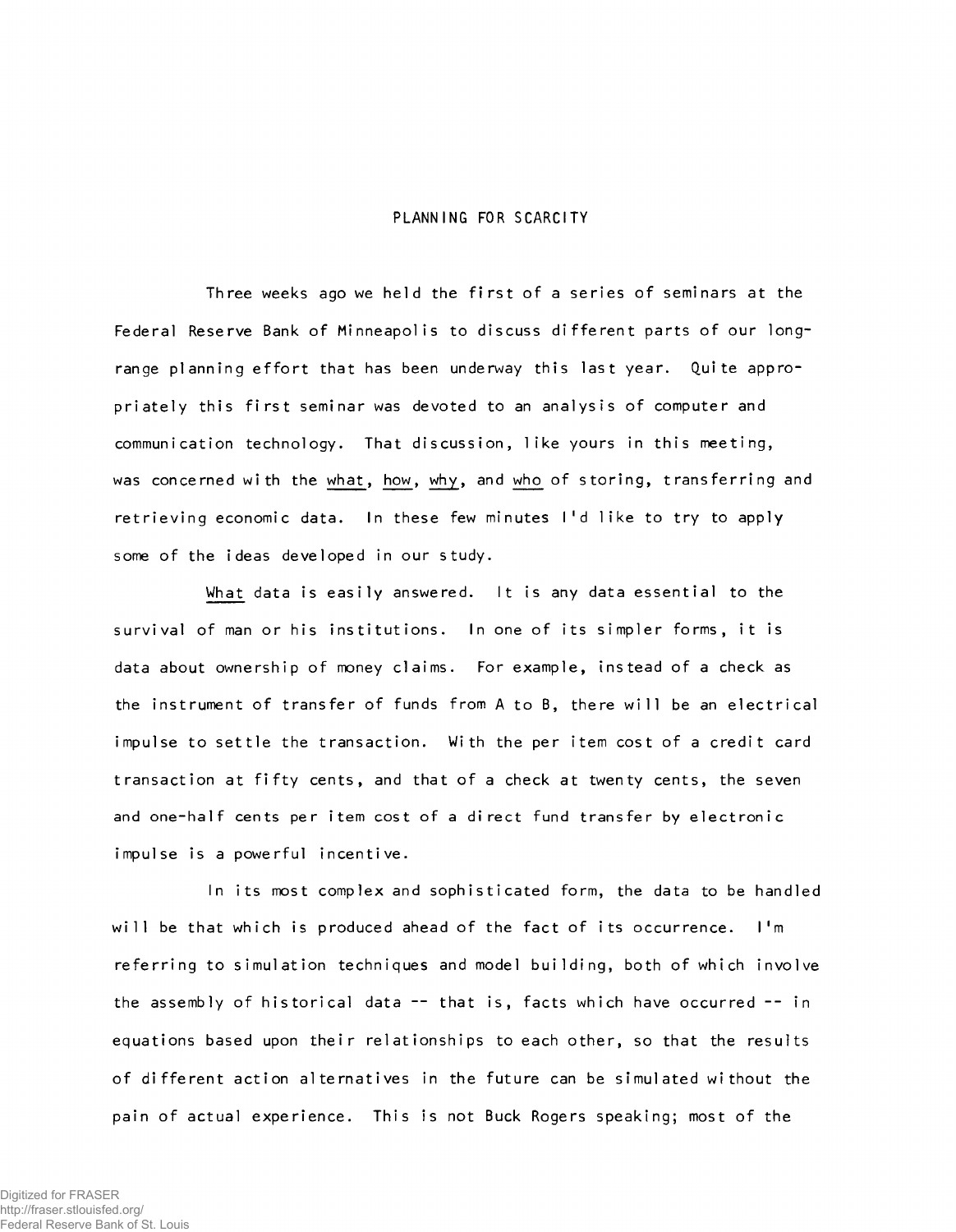## **PLANNING FOR SCARCITY**

Three weeks ago we held the first of a series of seminars at the Federal Reserve Bank of Minneapolis to discuss different parts of our longrange planning effort that has been underway this last year. Quite appropriately this first seminar was devoted to an analysis of computer and communication technology. That discussion, like yours in this meeting, was concerned with the what, how, why, and who of storing, transferring and retrieving economic data. In these few minutes I'd like to try to apply some of the ideas developed in our study.

What data is easily answered. It is any data essential to the survival of man or his institutions. In one of its simpler forms, it is data about ownership of money claims. For example, instead of a check as the instrument of transfer of funds from A to B, there will be an electrical impulse to settle the transaction. With the per item cost of a credit card transaction at fifty cents, and that of a check at twenty cents, the seven and one-half cents per item cost of a direct fund transfer by electronic impulse is a powerful incentive.

In its most complex and sophisticated form, the data to be handled will be that which is produced ahead of the fact of its occurrence. I'm referring to simulation techniques and model building, both of which involve the assembly of historical data -- that is, facts which have occurred -- in equations based upon their relationships to each other, so that the results of different action alternatives in the future can be simulated without the **pain of actual experience. This is not Buck Rogers speaking; most of the**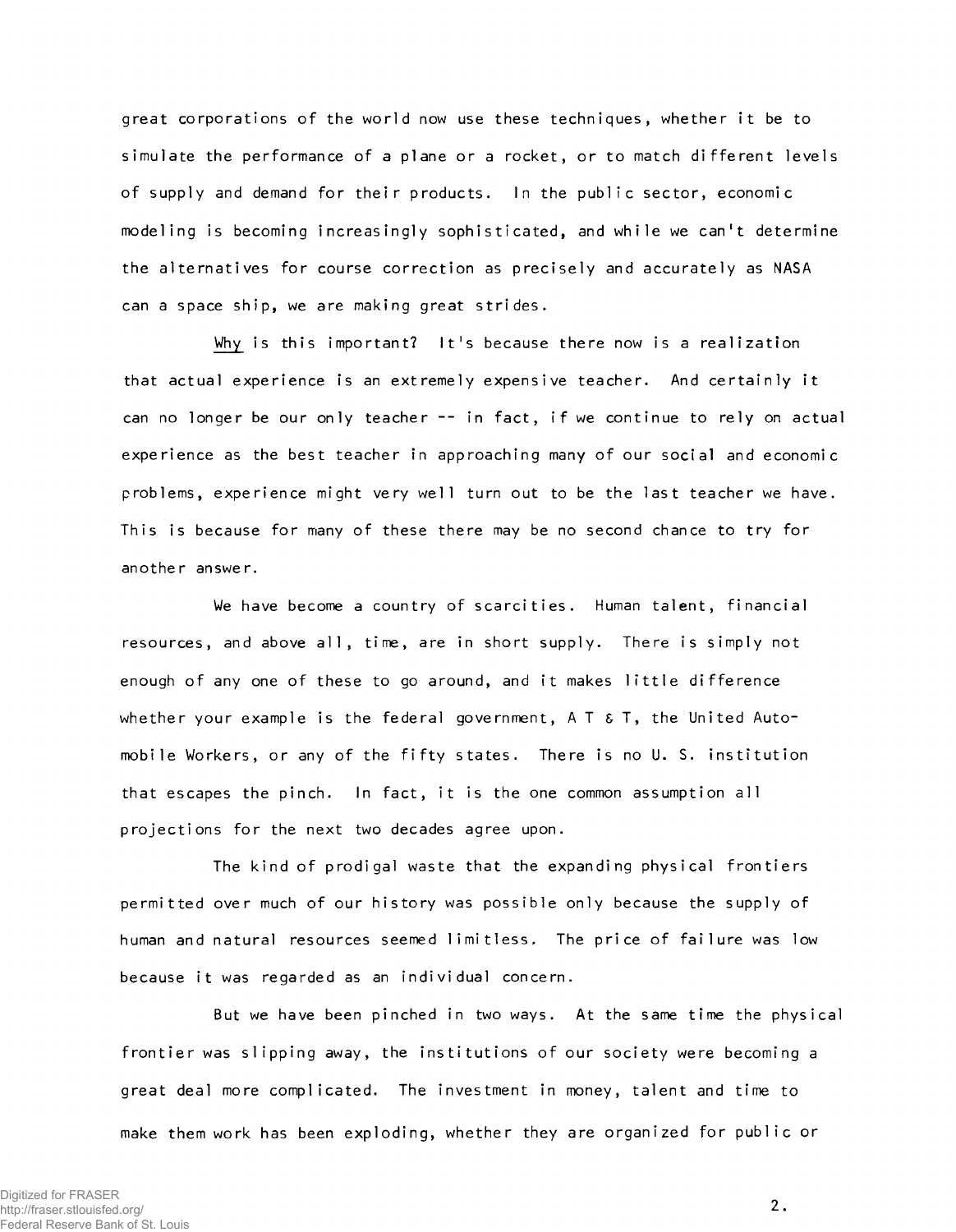great corporations of the world now use these techniques, whether it be to simulate the performance of a plane or a rocket, or to match different levels of supply and demand for their products. In the public sector, economic modeling is becoming increasingly sophisticated, and while we can't determine the alternatives for course correction as precisely and accurately as NASA can a space ship, we are making great strides.

Why is this important? It's because there now is a realization that actual experience is an extremely expensive teacher. And certainly it can no longer be our only teacher -- in fact, if we continue to rely on actual experience as the best teacher in approaching many of our social and economic problems, experience might very well turn out to be the last teacher we have. This is because for many of these there may be no second chance to try for **another answer.**

We have become a country of scarcities. Human talent, financial resources, and above all, time, are in short supply. There is simply not enough of any one of these to go around, and it makes little difference whether your example is the federal government, A T & T, the United Automobile Workers, or any of the fifty states. There is no U. S. institution that escapes the pinch. In fact, it is the one common assumption all projections for the next two decades agree upon.

**The kind of prodigal waste that the expanding physical fron tiers** permitted over much of our history was possible only because the supply of human and natural resources seemed limitless. The price of failure was low because it was regarded as an individual concern.

But we have been pinched in two ways. At the same time the physical frontier was slipping away, the institutions of our society were becoming a great deal more complicated. The investment in money, talent and time to make them work has been exploding, whether they are organized for public or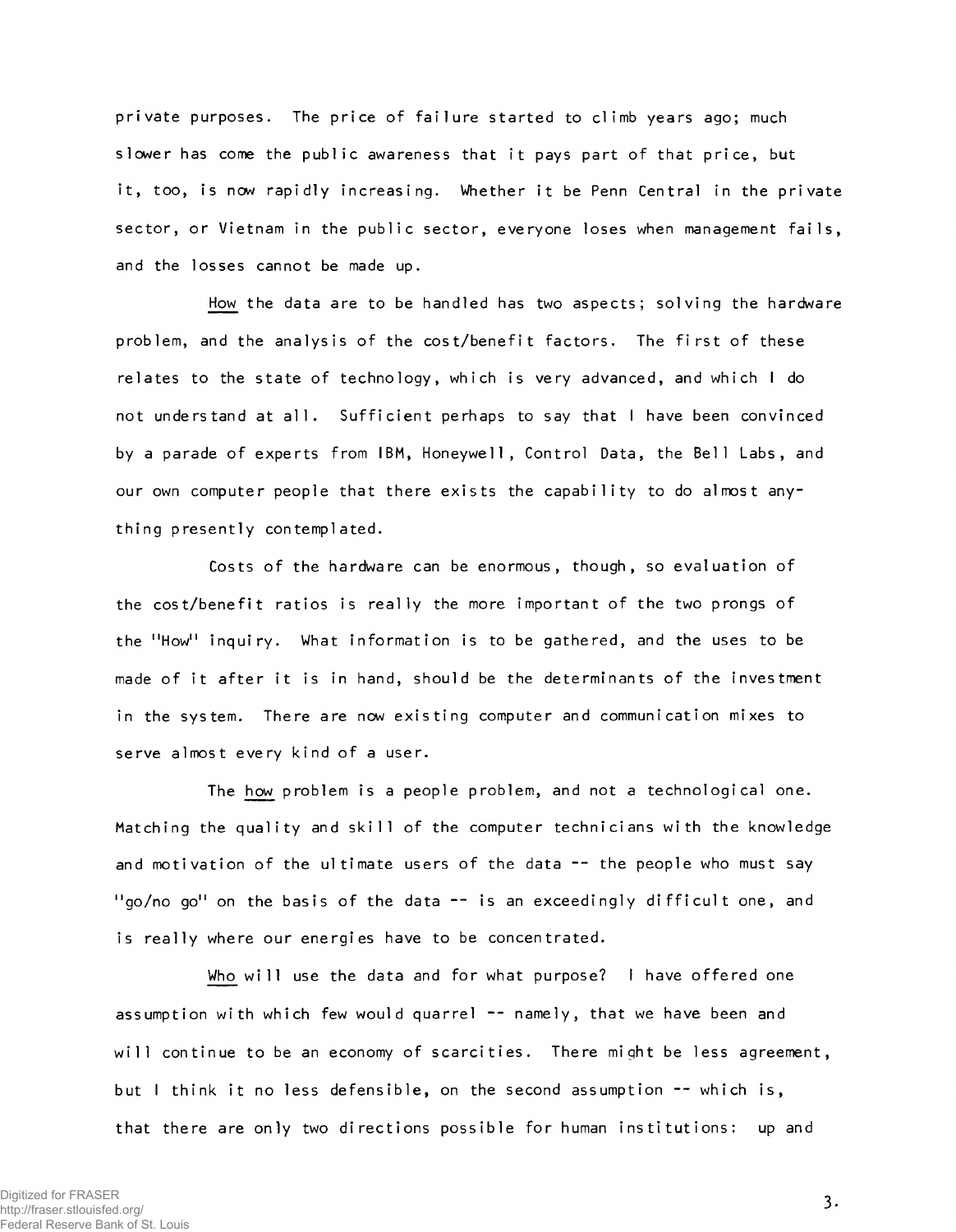private purposes. The price of failure started to climb years ago; much slower has come the public awareness that it pays part of that price, but it, too, is now rapidly increasing. Whether it be Penn Central in the private sector, or Vietnam in the public sector, everyone loses when management fails, and the losses cannot be made up.

How the data are to be handled has two aspects; solving the hardware problem, and the analysis of the cost/benefit factors. The first of these relates to the state of technology, which is very advanced, and which I do not understand at all. Sufficient perhaps to say that I have been convinced by a parade of experts from IBM, Honeywell, Control Data, the Bell Labs, and our own computer people that there exists the capability to do almost any**thing presently contemplated.**

Costs of the hardware can be enormous, though, so evaluation of the cost/benefit ratios is really the more important of the two prongs of the "How" inquiry. What information is to be gathered, and the uses to be made of it after it is in hand, should be the determinants of the investment in the system. There are now existing computer and communication mixes to serve almost every kind of a user.

The how problem is a people problem, and not a technological one. Matching the quality and skill of the computer technicians with the knowledge and motivation of the ultimate users of the data -- the people who must say "go/no go" on the basis of the data -- is an exceedingly difficult one, and is really where our energies have to be concentrated.

Who will use the data and for what purpose? I have offered one assumption with which few would quarrel -- namely, that we have been and will continue to be an economy of scarcities. There might be less agreement, but I think it no less defensible, on the second assumption  $-$  which is, that there are only two directions possible for human institutions: up and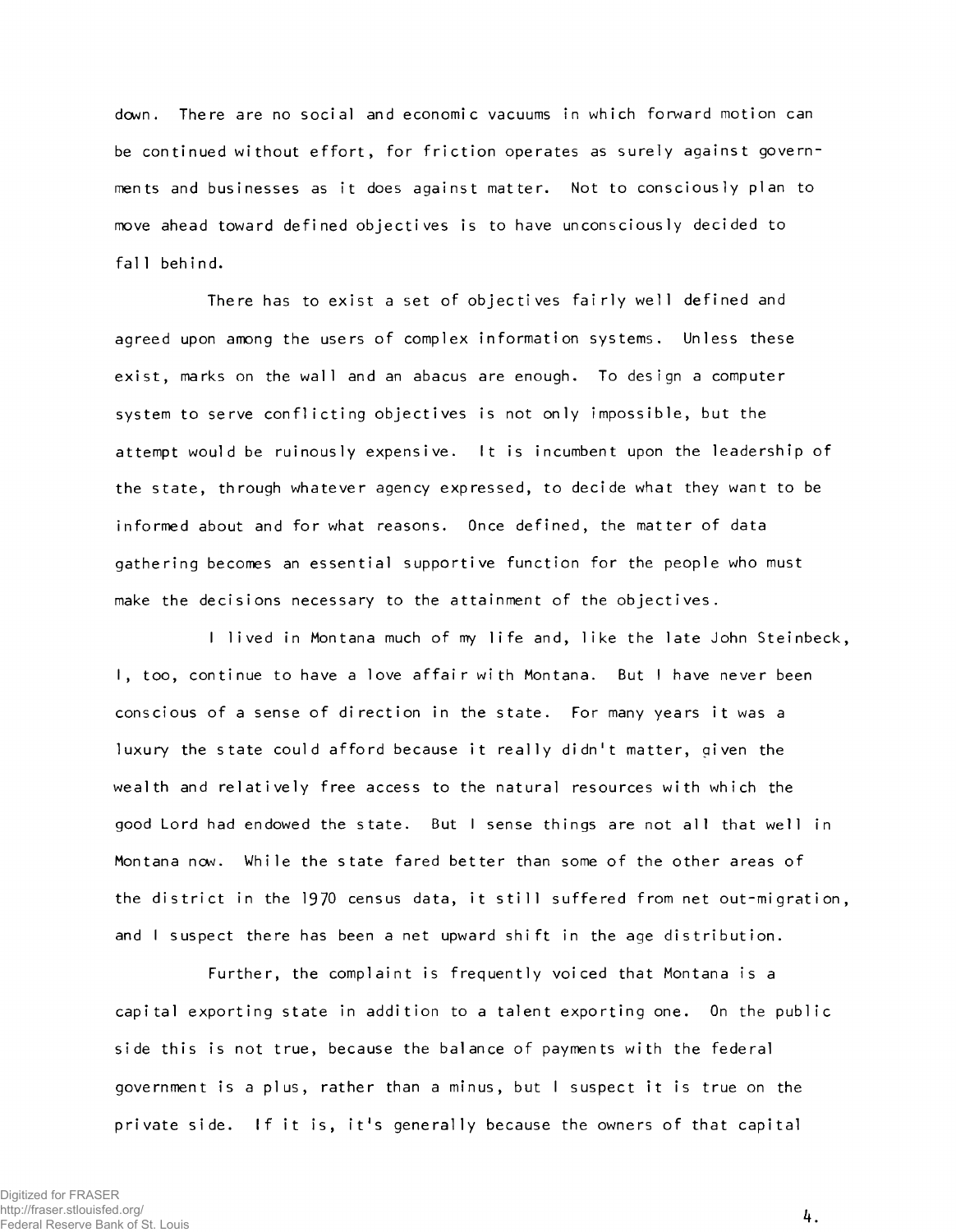**down. The re are no soci al and economi c vacuums** in which **forward mot i on can** be continued without effort, for friction operates as surely against governments and businesses as it does against matter. Not to consciously plan to move ahead toward defined objectives is to have unconsciously decided to fall behind.

There has to exist a set of objectives fairly well defined and agreed upon among the users of complex information systems. Unless these exist, marks on the wall and an abacus are enough. To design a computer system to serve conflicting objectives is not only impossible, but the attempt would be ruinously expensive. It is incumbent upon the leadership of the state, through whatever agency expressed, to decide what they want to be **informed about and for what reasons. Once defined, the matter of data** gathering becomes an essential supportive function for the people who must make the decisions necessary to the attainment of the objectives.

I lived in Montana much of my life and, like the late John Steinbeck, **I**, too, continue to have a love affair with Montana. But I have never been conscious of a sense of direction in the state. For many years it was a luxury the state could afford because it really didn't matter, given the wealth and relatively free access to the natural resources with which the good Lord had endowed the state. But I sense things are not all that well in Montana now. While the state fared better than some of the other areas of the district in the 1970 census data, it still suffered from net out-migration, and I suspect there has been a net upward shift in the age distribution.

**Further, the complaint is frequently voiced that Montana is a** capital exporting state in addition to a talent exporting one. On the public **side this is not true, because the balance of payments with the federal** government is a plus, rather than a minus, but I suspect it is true on the **private side. If it is, i t 's generally because the owners of that capital**

*k.*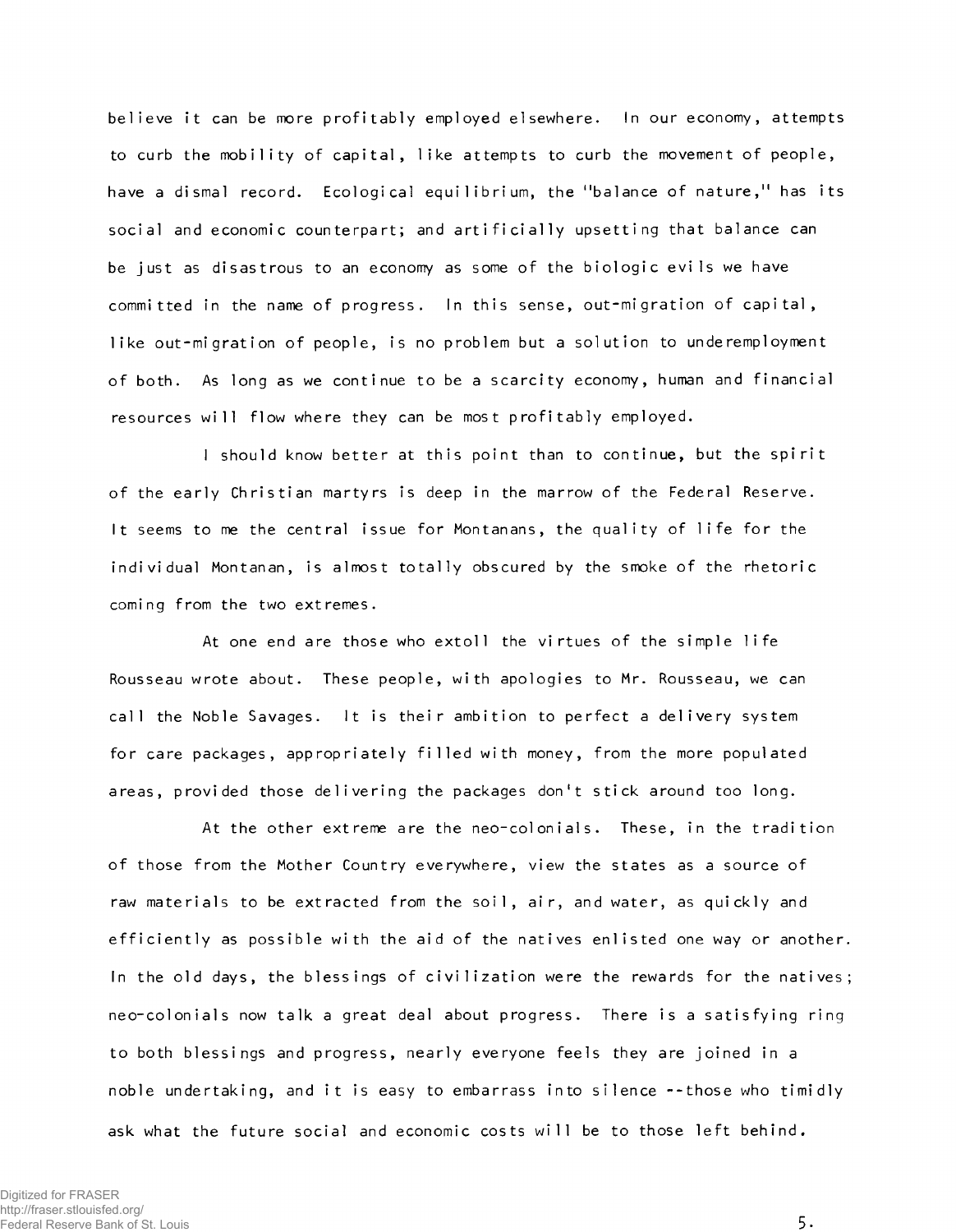believe it can be more profitably employed elsewhere. In our economy, attempts to curb the mobility of capital, like attempts to curb the movement of people, have a dismal record. Ecological equilibrium, the "balance of nature," has its social and economic counterpart; and artificially upsetting that balance can be just as disastrous to an economy as some of the biologic evils we have committed in the name of progress. In this sense, out-migration of capital, like out-migration of people, is no problem but a solution to underemployment of both. As long as we continue to be a scarcity economy, human and financial resources will flow where they can be most profitably employed.

I should know better at this point than to continue, but the spirit **of the early C h ristian martyrs is deep in the marrow of the Federal Reserve.** It seems to me the central issue for Montanans, the quality of life for the individual Montanan, is almost totally obscured by the smoke of the rhetoric **coming from the two extremes.**

At one end are those who extoll the virtues of the simple life Rousseau wrote about. These people, with apologies to Mr. Rousseau, we can call the Noble Savages. It is their ambition to perfect a delivery system for care packages, appropriately filled with money, from the more populated **areas, provided those delivering the packages don't stick around too long.**

At the other extreme are the neo-colonials. These, in the tradition of those from the Mother Country everywhere, view the states as a source of raw materials to be extracted from the soil, air, and water, as quickly and efficiently as possible with the aid of the natives enlisted one way or another. In the old days, the blessings of civilization were the rewards for the natives; neo-colonials now talk a great deal about progress. There is a satisfying ring **to both b lessin gs and progress, nearly everyone feels they are joined in a** noble undertaking, and it is easy to embarrass into silence --those who timidly ask what the future social and economic costs will be to those left behind.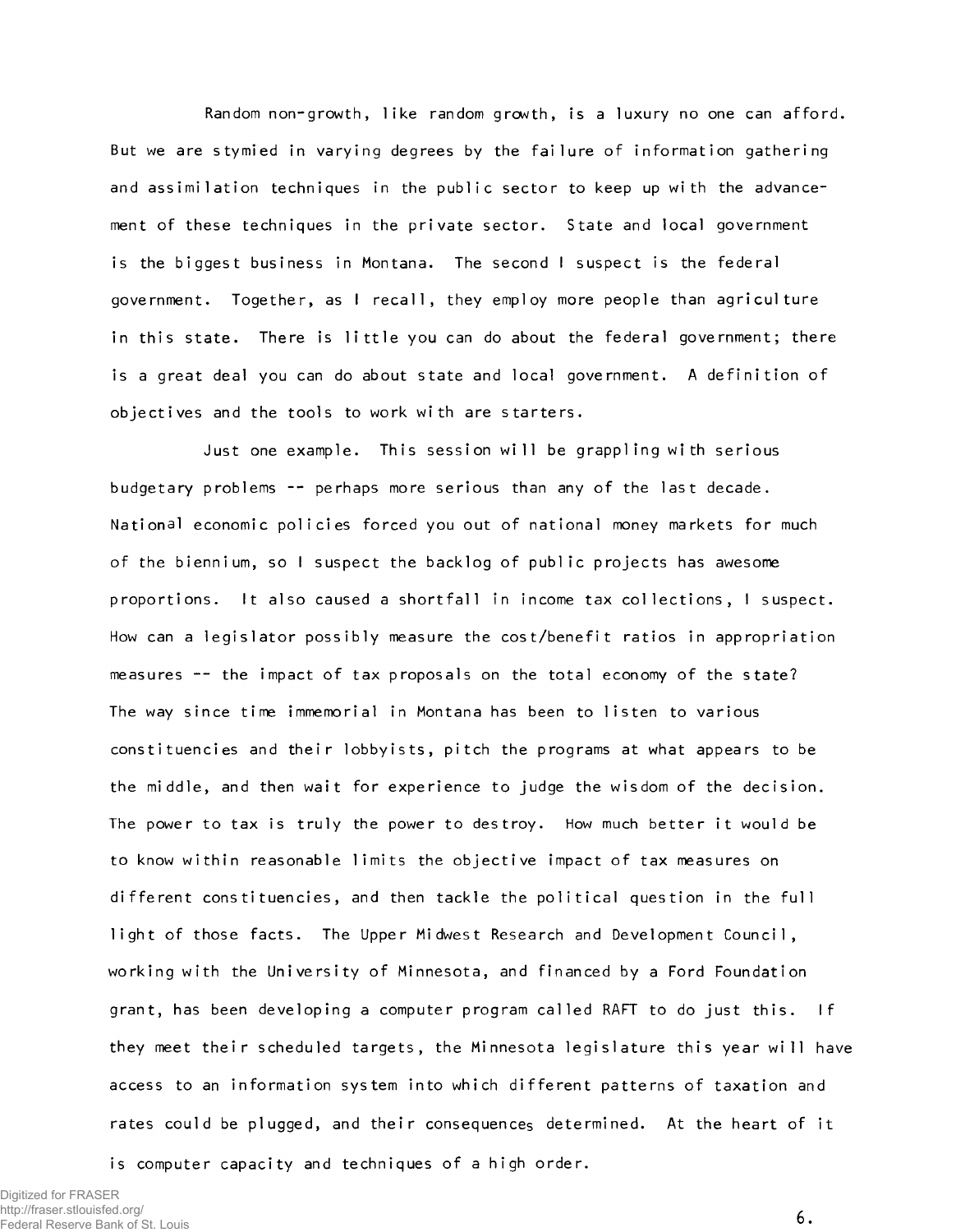Random non-growth, like random growth, is a luxury no one can afford. But we are stymied in varying degrees by the failure of information gathering and assimilation techniques in the public sector to keep up with the advancement of these techniques in the private sector. State and local government is the biggest business in Montana. The second I suspect is the federal government. Together, as I recall, they employ more people than agriculture in this state. There is little you can do about the federal government; there is a great deal you can do about state and local government. A definition of objectives and the tools to work with are starters.

Just one example. This session will be grappling with serious budgetary problems -- perhaps more serious than any of the last decade. National economic policies forced you out of national money markets for much of the biennium, so I suspect the backlog of public projects has awesome proportions. It also caused a shortfall in income tax collections, I suspect. How can a legislator possibly measure the cost/benefit ratios in appropriation measures -- the impact of tax proposals on the total economy of the state? The way since time immemorial in Montana has been to listen to various constituencies and their lobbyists, pitch the programs at what appears to be **the middle, and then wait for experience to judge the wisdom of the decision.** The power to tax is truly the power to destroy. How much better it would be to know within reasonable limits the objective impact of tax measures on different constituencies, and then tackle the political question in the full light of those facts. The Upper Midwest Research and Development Council, working with the University of Minnesota, and financed by a Ford Foundation grant, has been developing a computer program called RAFT to do just this. If they meet their scheduled targets, the Minnesota legislature this year will have access to an information system into which different patterns of taxation and rates could be plugged, and their consequences determined. At the heart of it

is computer capacity and techniques of a high order.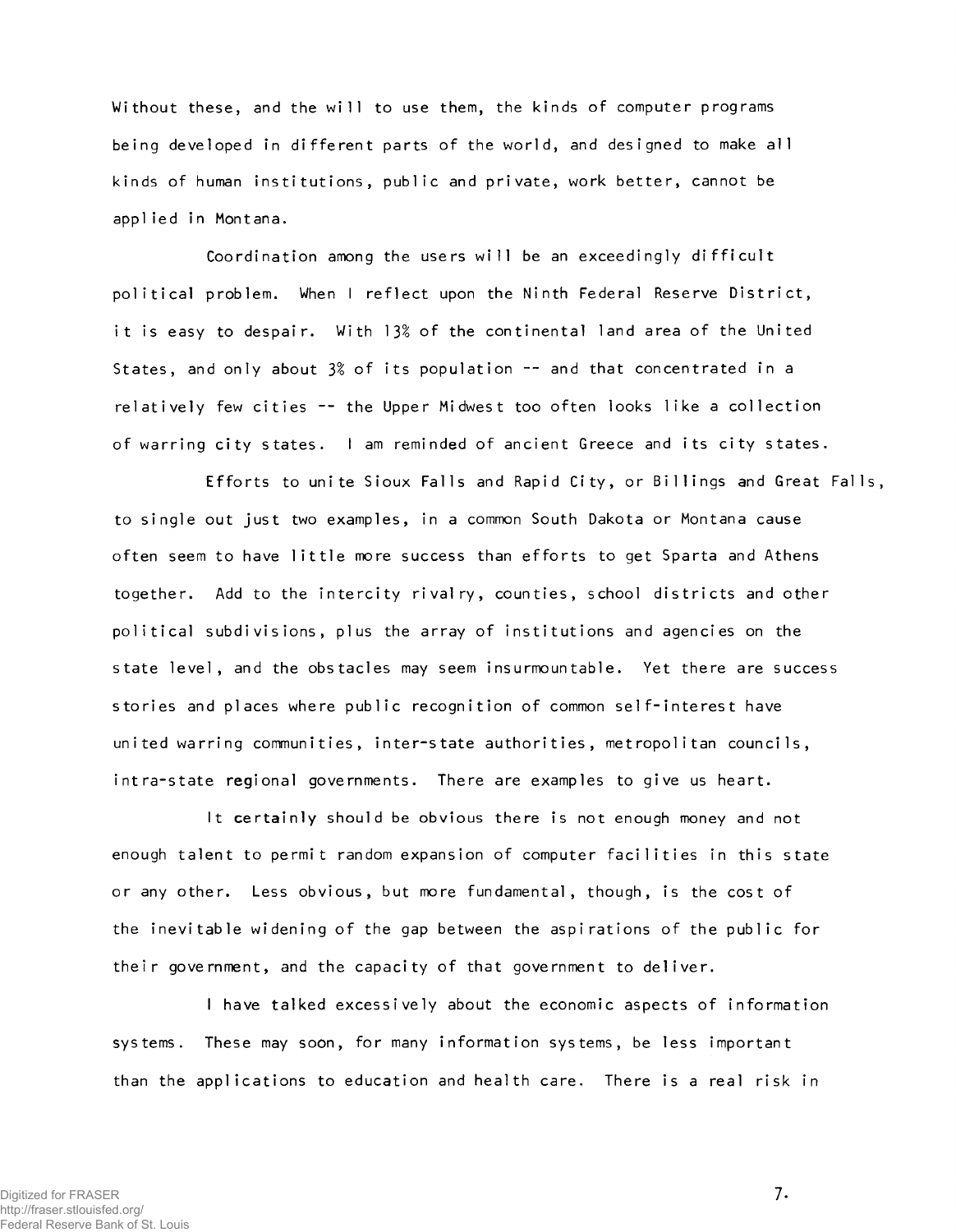Wi thout these, and the will to use them, the kinds of computer programs being developed in different parts of the world, and designed to make all kinds of human institutions, public and private, work better, cannot be **applied in Montana.**

Coordination among the users will be an exceedingly difficult political problem. When I reflect upon the Ninth Federal Reserve District, it is easy to despair. With 13% of the continental land area of the United **States, and only about 3***%* **of its population — and that concentrated in a** relatively few cities -- the Upper Midwest too often looks like a collection of warring city states. I am reminded of ancient Greece and its city states.

Efforts to unite Sioux Falls and Rapid City, or Billings and Great Falls, **to s i n g l e out j u s t two examples, in a common South Dakota or Montana cause** often seem to have little more success than efforts to get Sparta and Athens together. Add to the intercity rivalry, counties, school districts and other political subdivisions, plus the array of institutions and agencies on the state level, and the obstacles may seem insurmountable. Yet there are success s tories and places where public recognition of common self-interest have **united warring communities, inter-state authorities, metropolitan councils,** intra-state regional governments. There are examples to give us heart.

It certainly should be obvious there is not enough money and not enough talent to permit random expansion of computer facilities in this state or any other. Less obvious, but more fundamental, though, is the cost of the inevitable widening of the gap between the aspirations of the public for their government, and the capacity of that government to deliver.

I have talked excessively about the economic aspects of information systems. These may soon, for many information systems, be less important than the applications to education and health care. There is a real risk in